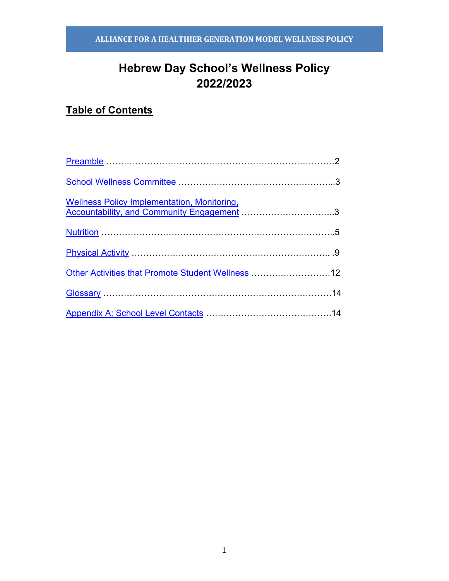# **Hebrew Day School's Wellness Policy 2022/2023**

# **Table of Contents**

| <b>Wellness Policy Implementation, Monitoring,</b><br>Wellness Policy Implementation, Monitoring,<br>Accountability, and Community Engagement 3 |  |
|-------------------------------------------------------------------------------------------------------------------------------------------------|--|
|                                                                                                                                                 |  |
|                                                                                                                                                 |  |
| Other Activities that Promote Student Wellness  12                                                                                              |  |
|                                                                                                                                                 |  |
|                                                                                                                                                 |  |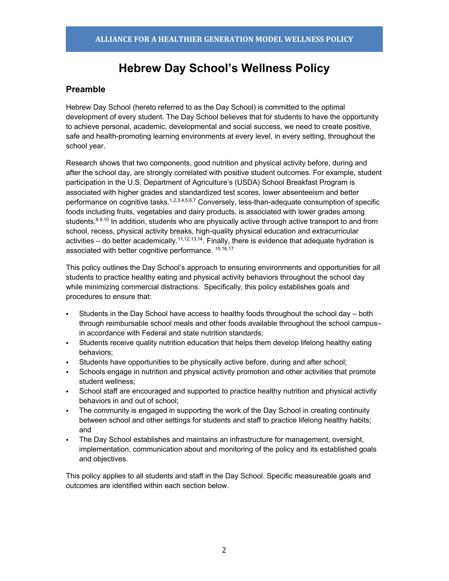# **Hebrew Day School's Wellness Policy**

## **Preamble**

Hebrew Day School (hereto referred to as the Day School) is committed to the optimal development of every student. The Day School believes that for students to have the opportunity to achieve personal, academic, developmental and social success, we need to create positive, safe and health-promoting learning environments at every level, in every setting, throughout the school year.

Research shows that two components, good nutrition and physical activity before, during and after the school day, are strongly correlated with positive student outcomes. For example, student participation in the U.S. Department of Agriculture's (USDA) School Breakfast Program is associated with higher grades and standardized test scores, lower absenteeism and better performance on cognitive tasks.<sup>1,2,3,4,5,6,7</sup> Conversely, less-than-adequate consumption of specific foods including fruits, vegetables and dairy products, is associated with lower grades among students.<sup>8,9,10</sup> In addition, students who are physically active through active transport to and from school, recess, physical activity breaks, high-quality physical education and extracurricular activities – do better academically.<sup>11,12,13,14</sup>. Finally, there is evidence that adequate hydration is associated with better cognitive performance. 15,16,17

This policy outlines the Day School's approach to ensuring environments and opportunities for all students to practice healthy eating and physical activity behaviors throughout the school day while minimizing commercial distractions. Specifically, this policy establishes goals and procedures to ensure that:

- Students in the Day School have access to healthy foods throughout the school day both through reimbursable school meals and other foods available throughout the school campusin accordance with Federal and state nutrition standards;
- Students receive quality nutrition education that helps them develop lifelong healthy eating behaviors;
- § Students have opportunities to be physically active before, during and after school;
- Schools engage in nutrition and physical activity promotion and other activities that promote student wellness;
- School staff are encouraged and supported to practice healthy nutrition and physical activity behaviors in and out of school;
- The community is engaged in supporting the work of the Day School in creating continuity between school and other settings for students and staff to practice lifelong healthy habits; and
- The Day School establishes and maintains an infrastructure for management, oversight, implementation, communication about and monitoring of the policy and its established goals and objectives.

This policy applies to all students and staff in the Day School. Specific measureable goals and outcomes are identified within each section below.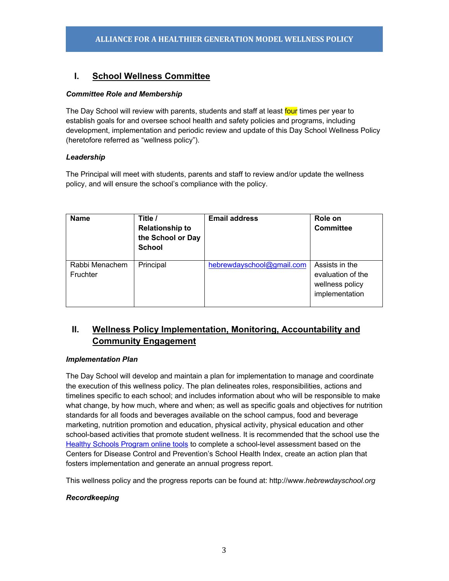## **I. School Wellness Committee**

#### *Committee Role and Membership*

The Day School will review with parents, students and staff at least four times per year to establish goals for and oversee school health and safety policies and programs, including development, implementation and periodic review and update of this Day School Wellness Policy (heretofore referred as "wellness policy").

### *Leadership*

The Principal will meet with students, parents and staff to review and/or update the wellness policy, and will ensure the school's compliance with the policy.

| <b>Name</b>                | Title /<br><b>Relationship to</b><br>the School or Day<br><b>School</b> | <b>Email address</b>      | Role on<br><b>Committee</b>                                              |
|----------------------------|-------------------------------------------------------------------------|---------------------------|--------------------------------------------------------------------------|
| Rabbi Menachem<br>Fruchter | Principal                                                               | hebrewdayschool@gmail.com | Assists in the<br>evaluation of the<br>wellness policy<br>implementation |

## **II. Wellness Policy Implementation, Monitoring, Accountability and Community Engagement**

#### *Implementation Plan*

The Day School will develop and maintain a plan for implementation to manage and coordinate the execution of this wellness policy. The plan delineates roles, responsibilities, actions and timelines specific to each school; and includes information about who will be responsible to make what change, by how much, where and when; as well as specific goals and objectives for nutrition standards for all foods and beverages available on the school campus, food and beverage marketing, nutrition promotion and education, physical activity, physical education and other school-based activities that promote student wellness. It is recommended that the school use the Healthy Schools Program online tools to complete a school-level assessment based on the Centers for Disease Control and Prevention's School Health Index, create an action plan that fosters implementation and generate an annual progress report.

This wellness policy and the progress reports can be found at: http://www.*hebrewdayschool.org*

#### *Recordkeeping*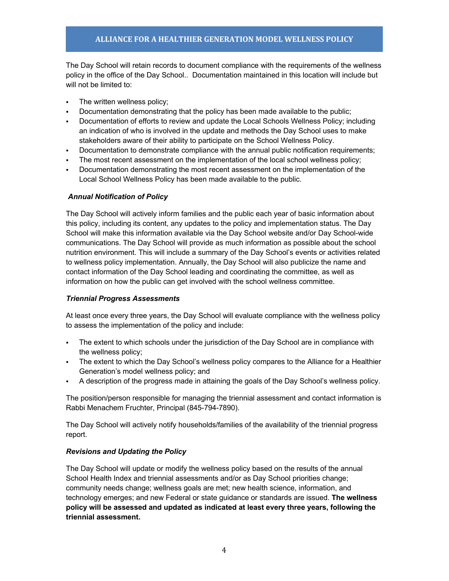The Day School will retain records to document compliance with the requirements of the wellness policy in the office of the Day School.. Documentation maintained in this location will include but will not be limited to:

- The written wellness policy:
- § Documentation demonstrating that the policy has been made available to the public;
- Documentation of efforts to review and update the Local Schools Wellness Policy; including an indication of who is involved in the update and methods the Day School uses to make stakeholders aware of their ability to participate on the School Wellness Policy.
- Documentation to demonstrate compliance with the annual public notification requirements;
- The most recent assessment on the implementation of the local school wellness policy;
- § Documentation demonstrating the most recent assessment on the implementation of the Local School Wellness Policy has been made available to the public.

#### *Annual Notification of Policy*

The Day School will actively inform families and the public each year of basic information about this policy, including its content, any updates to the policy and implementation status. The Day School will make this information available via the Day School website and/or Day School-wide communications. The Day School will provide as much information as possible about the school nutrition environment. This will include a summary of the Day School's events or activities related to wellness policy implementation. Annually, the Day School will also publicize the name and contact information of the Day School leading and coordinating the committee, as well as information on how the public can get involved with the school wellness committee.

#### *Triennial Progress Assessments*

At least once every three years, the Day School will evaluate compliance with the wellness policy to assess the implementation of the policy and include:

- The extent to which schools under the jurisdiction of the Day School are in compliance with the wellness policy;
- The extent to which the Day School's wellness policy compares to the Alliance for a Healthier Generation's model wellness policy; and
- A description of the progress made in attaining the goals of the Day School's wellness policy.

The position/person responsible for managing the triennial assessment and contact information is Rabbi Menachem Fruchter, Principal (845-794-7890).

The Day School will actively notify households/families of the availability of the triennial progress report.

#### *Revisions and Updating the Policy*

The Day School will update or modify the wellness policy based on the results of the annual School Health Index and triennial assessments and/or as Day School priorities change; community needs change; wellness goals are met; new health science, information, and technology emerges; and new Federal or state guidance or standards are issued. **The wellness policy will be assessed and updated as indicated at least every three years, following the triennial assessment.**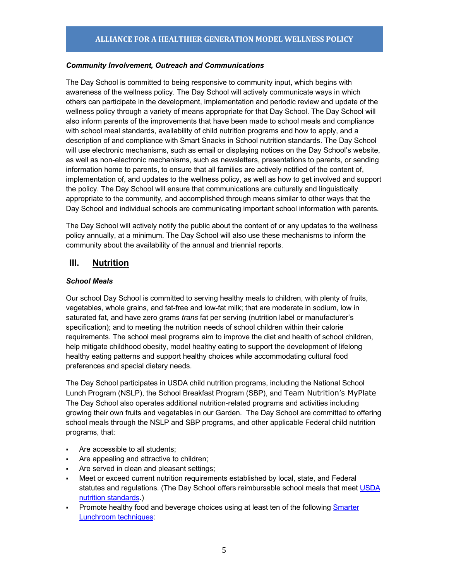#### *Community Involvement, Outreach and Communications*

The Day School is committed to being responsive to community input, which begins with awareness of the wellness policy. The Day School will actively communicate ways in which others can participate in the development, implementation and periodic review and update of the wellness policy through a variety of means appropriate for that Day School. The Day School will also inform parents of the improvements that have been made to school meals and compliance with school meal standards, availability of child nutrition programs and how to apply, and a description of and compliance with Smart Snacks in School nutrition standards. The Day School will use electronic mechanisms, such as email or displaying notices on the Day School's website, as well as non-electronic mechanisms, such as newsletters, presentations to parents, or sending information home to parents, to ensure that all families are actively notified of the content of, implementation of, and updates to the wellness policy, as well as how to get involved and support the policy. The Day School will ensure that communications are culturally and linguistically appropriate to the community, and accomplished through means similar to other ways that the Day School and individual schools are communicating important school information with parents.

The Day School will actively notify the public about the content of or any updates to the wellness policy annually, at a minimum. The Day School will also use these mechanisms to inform the community about the availability of the annual and triennial reports.

## **III. Nutrition**

#### *School Meals*

Our school Day School is committed to serving healthy meals to children, with plenty of fruits, vegetables, whole grains, and fat-free and low-fat milk; that are moderate in sodium, low in saturated fat, and have zero grams *trans* fat per serving (nutrition label or manufacturer's specification); and to meeting the nutrition needs of school children within their calorie requirements. The school meal programs aim to improve the diet and health of school children, help mitigate childhood obesity, model healthy eating to support the development of lifelong healthy eating patterns and support healthy choices while accommodating cultural food preferences and special dietary needs.

The Day School participates in USDA child nutrition programs, including the National School Lunch Program (NSLP), the School Breakfast Program (SBP), and Team Nutrition's MyPlate The Day School also operates additional nutrition-related programs and activities including growing their own fruits and vegetables in our Garden. The Day School are committed to offering school meals through the NSLP and SBP programs, and other applicable Federal child nutrition programs, that:

- Are accessible to all students:
- Are appealing and attractive to children;
- § Are served in clean and pleasant settings;
- § Meet or exceed current nutrition requirements established by local, state, and Federal statutes and regulations. (The Day School offers reimbursable school meals that meet USDA nutrition standards.)
- Promote healthy food and beverage choices using at least ten of the following **Smarter** Lunchroom techniques: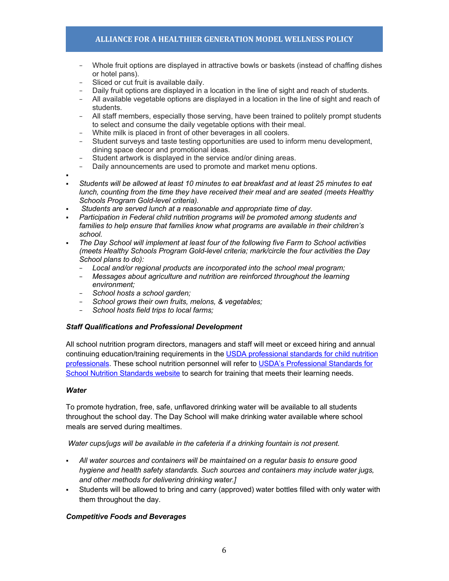- − Whole fruit options are displayed in attractive bowls or baskets (instead of chaffing dishes or hotel pans).
- − Sliced or cut fruit is available daily.
- − Daily fruit options are displayed in a location in the line of sight and reach of students.
- − All available vegetable options are displayed in a location in the line of sight and reach of students.
- − All staff members, especially those serving, have been trained to politely prompt students to select and consume the daily vegetable options with their meal.
- − White milk is placed in front of other beverages in all coolers.
- − Student surveys and taste testing opportunities are used to inform menu development, dining space decor and promotional ideas.
- Student artwork is displayed in the service and/or dining areas.
- Daily announcements are used to promote and market menu options.
- §
- § *Students will be allowed at least 10 minutes to eat breakfast and at least 25 minutes to eat lunch, counting from the time they have received their meal and are seated (meets Healthy Schools Program Gold-level criteria).*
- § *Students are served lunch at a reasonable and appropriate time of day.*
- § *Participation in Federal child nutrition programs will be promoted among students and families to help ensure that families know what programs are available in their children's school.*
- § *The Day School will implement at least four of the following five Farm to School activities (meets Healthy Schools Program Gold-level criteria; mark/circle the four activities the Day School plans to do):* 
	- − *Local and/or regional products are incorporated into the school meal program;*
	- − *Messages about agriculture and nutrition are reinforced throughout the learning environment;*
	- − *School hosts a school garden;*
	- − *School grows their own fruits, melons, & vegetables;*
	- − *School hosts field trips to local farms;*

#### *Staff Qualifications and Professional Development*

All school nutrition program directors, managers and staff will meet or exceed hiring and annual continuing education/training requirements in the USDA professional standards for child nutrition professionals. These school nutrition personnel will refer to USDA's Professional Standards for School Nutrition Standards website to search for training that meets their learning needs.

#### *Water*

To promote hydration, free, safe, unflavored drinking water will be available to all students throughout the school day. The Day School will make drinking water available where school meals are served during mealtimes.

*Water cups/jugs will be available in the cafeteria if a drinking fountain is not present.*

- § *All water sources and containers will be maintained on a regular basis to ensure good hygiene and health safety standards. Such sources and containers may include water jugs, and other methods for delivering drinking water.]*
- § Students will be allowed to bring and carry (approved) water bottles filled with only water with them throughout the day.

#### *Competitive Foods and Beverages*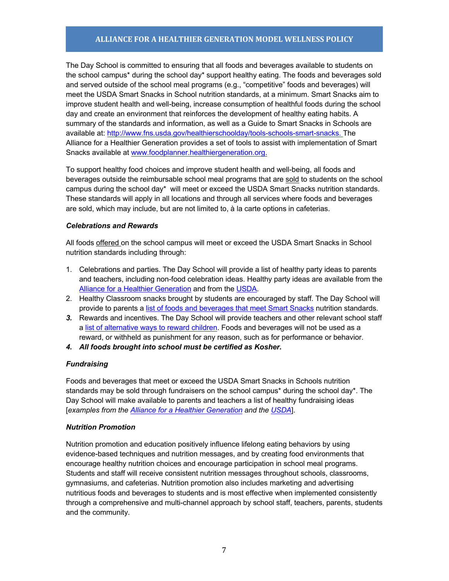The Day School is committed to ensuring that all foods and beverages available to students on the school campus\* during the school day\* support healthy eating. The foods and beverages sold and served outside of the school meal programs (e.g., "competitive" foods and beverages) will meet the USDA Smart Snacks in School nutrition standards, at a minimum. Smart Snacks aim to improve student health and well-being, increase consumption of healthful foods during the school day and create an environment that reinforces the development of healthy eating habits. A summary of the standards and information, as well as a Guide to Smart Snacks in Schools are available at: http://www.fns.usda.gov/healthierschoolday/tools-schools-smart-snacks. The Alliance for a Healthier Generation provides a set of tools to assist with implementation of Smart Snacks available at www.foodplanner.healthiergeneration.org.

To support healthy food choices and improve student health and well-being, all foods and beverages outside the reimbursable school meal programs that are sold to students on the school campus during the school day\* will meet or exceed the USDA Smart Snacks nutrition standards. These standards will apply in all locations and through all services where foods and beverages are sold, which may include, but are not limited to, à la carte options in cafeterias.

#### *Celebrations and Rewards*

All foods offered on the school campus will meet or exceed the USDA Smart Snacks in School nutrition standards including through:

- 1. Celebrations and parties. The Day School will provide a list of healthy party ideas to parents and teachers, including non-food celebration ideas. Healthy party ideas are available from the Alliance for a Healthier Generation and from the USDA.
- 2. Healthy Classroom snacks brought by students are encouraged by staff. The Day School will provide to parents a list of foods and beverages that meet Smart Snacks nutrition standards.
- *3.* Rewards and incentives. The Day School will provide teachers and other relevant school staff a list of alternative ways to reward children. Foods and beverages will not be used as a reward, or withheld as punishment for any reason, such as for performance or behavior.
- *4. All foods brought into school must be certified as Kosher.*

#### *Fundraising*

Foods and beverages that meet or exceed the USDA Smart Snacks in Schools nutrition standards may be sold through fundraisers on the school campus\* during the school day\*. The Day School will make available to parents and teachers a list of healthy fundraising ideas [*examples from the Alliance for a Healthier Generation and the USDA*].

#### *Nutrition Promotion*

Nutrition promotion and education positively influence lifelong eating behaviors by using evidence-based techniques and nutrition messages, and by creating food environments that encourage healthy nutrition choices and encourage participation in school meal programs. Students and staff will receive consistent nutrition messages throughout schools, classrooms, gymnasiums, and cafeterias. Nutrition promotion also includes marketing and advertising nutritious foods and beverages to students and is most effective when implemented consistently through a comprehensive and multi-channel approach by school staff, teachers, parents, students and the community.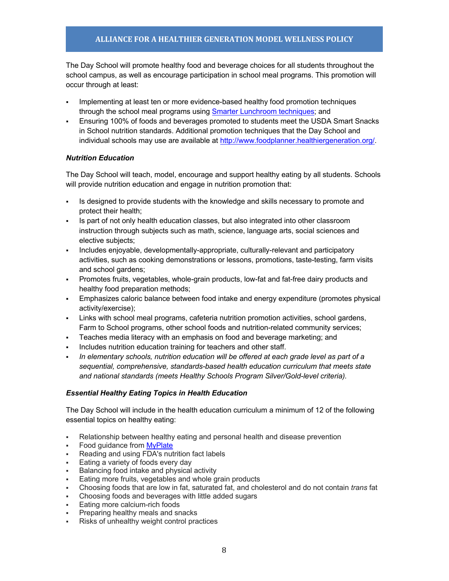The Day School will promote healthy food and beverage choices for all students throughout the school campus, as well as encourage participation in school meal programs. This promotion will occur through at least:

- Implementing at least ten or more evidence-based healthy food promotion techniques through the school meal programs using Smarter Lunchroom techniques; and
- § Ensuring 100% of foods and beverages promoted to students meet the USDA Smart Snacks in School nutrition standards. Additional promotion techniques that the Day School and individual schools may use are available at http://www.foodplanner.healthiergeneration.org/.

#### *Nutrition Education*

The Day School will teach, model, encourage and support healthy eating by all students. Schools will provide nutrition education and engage in nutrition promotion that:

- § Is designed to provide students with the knowledge and skills necessary to promote and protect their health;
- § Is part of not only health education classes, but also integrated into other classroom instruction through subjects such as math, science, language arts, social sciences and elective subjects;
- § Includes enjoyable, developmentally-appropriate, culturally-relevant and participatory activities, such as cooking demonstrations or lessons, promotions, taste-testing, farm visits and school gardens;
- Promotes fruits, vegetables, whole-grain products, low-fat and fat-free dairy products and healthy food preparation methods;
- § Emphasizes caloric balance between food intake and energy expenditure (promotes physical activity/exercise);
- Links with school meal programs, cafeteria nutrition promotion activities, school gardens, Farm to School programs, other school foods and nutrition-related community services;
- § Teaches media literacy with an emphasis on food and beverage marketing; and
- Includes nutrition education training for teachers and other staff.
- § *In elementary schools, nutrition education will be offered at each grade level as part of a sequential, comprehensive, standards-based health education curriculum that meets state and national standards (meets Healthy Schools Program Silver/Gold-level criteria).*

#### *Essential Healthy Eating Topics in Health Education*

The Day School will include in the health education curriculum a minimum of 12 of the following essential topics on healthy eating:

- Relationship between healthy eating and personal health and disease prevention
- Food guidance from MyPlate
- § Reading and using FDA's nutrition fact labels
- Eating a variety of foods every day
- § Balancing food intake and physical activity
- Eating more fruits, vegetables and whole grain products
- § Choosing foods that are low in fat, saturated fat, and cholesterol and do not contain *trans* fat
- § Choosing foods and beverages with little added sugars
- Eating more calcium-rich foods
- § Preparing healthy meals and snacks
- Risks of unhealthy weight control practices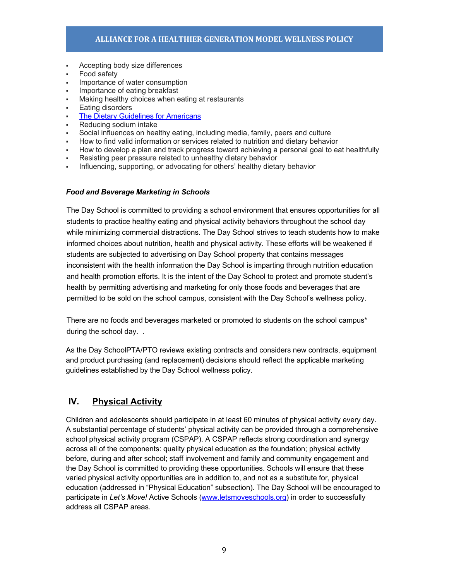- § Accepting body size differences
- § Food safety
- Importance of water consumption
- Importance of eating breakfast
- Making healthy choices when eating at restaurants
- Eating disorders
- The Dietary Guidelines for Americans
- § Reducing sodium intake
- § Social influences on healthy eating, including media, family, peers and culture
- § How to find valid information or services related to nutrition and dietary behavior
- § How to develop a plan and track progress toward achieving a personal goal to eat healthfully
- Resisting peer pressure related to unhealthy dietary behavior
- Influencing, supporting, or advocating for others' healthy dietary behavior

#### *Food and Beverage Marketing in Schools*

The Day School is committed to providing a school environment that ensures opportunities for all students to practice healthy eating and physical activity behaviors throughout the school day while minimizing commercial distractions. The Day School strives to teach students how to make informed choices about nutrition, health and physical activity. These efforts will be weakened if students are subjected to advertising on Day School property that contains messages inconsistent with the health information the Day School is imparting through nutrition education and health promotion efforts. It is the intent of the Day School to protect and promote student's health by permitting advertising and marketing for only those foods and beverages that are permitted to be sold on the school campus, consistent with the Day School's wellness policy.

There are no foods and beverages marketed or promoted to students on the school campus\* during the school day. .

As the Day SchoolPTA/PTO reviews existing contracts and considers new contracts, equipment and product purchasing (and replacement) decisions should reflect the applicable marketing guidelines established by the Day School wellness policy.

## **IV. Physical Activity**

Children and adolescents should participate in at least 60 minutes of physical activity every day. A substantial percentage of students' physical activity can be provided through a comprehensive school physical activity program (CSPAP). A CSPAP reflects strong coordination and synergy across all of the components: quality physical education as the foundation; physical activity before, during and after school; staff involvement and family and community engagement and the Day School is committed to providing these opportunities. Schools will ensure that these varied physical activity opportunities are in addition to, and not as a substitute for, physical education (addressed in "Physical Education" subsection). The Day School will be encouraged to participate in *Let's Move!* Active Schools (www.letsmoveschools.org) in order to successfully address all CSPAP areas.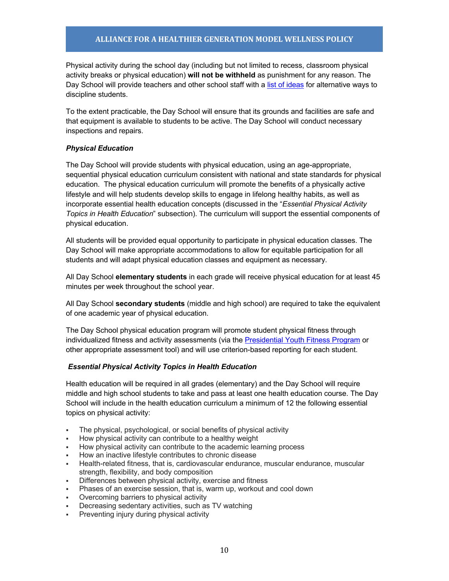Physical activity during the school day (including but not limited to recess, classroom physical activity breaks or physical education) **will not be withheld** as punishment for any reason. The Day School will provide teachers and other school staff with a list of ideas for alternative ways to discipline students.

To the extent practicable, the Day School will ensure that its grounds and facilities are safe and that equipment is available to students to be active. The Day School will conduct necessary inspections and repairs.

#### *Physical Education*

The Day School will provide students with physical education, using an age-appropriate, sequential physical education curriculum consistent with national and state standards for physical education. The physical education curriculum will promote the benefits of a physically active lifestyle and will help students develop skills to engage in lifelong healthy habits, as well as incorporate essential health education concepts (discussed in the "*Essential Physical Activity Topics in Health Education*" subsection). The curriculum will support the essential components of physical education.

All students will be provided equal opportunity to participate in physical education classes. The Day School will make appropriate accommodations to allow for equitable participation for all students and will adapt physical education classes and equipment as necessary.

All Day School **elementary students** in each grade will receive physical education for at least 45 minutes per week throughout the school year.

All Day School **secondary students** (middle and high school) are required to take the equivalent of one academic year of physical education.

The Day School physical education program will promote student physical fitness through individualized fitness and activity assessments (via the Presidential Youth Fitness Program or other appropriate assessment tool) and will use criterion-based reporting for each student.

#### *Essential Physical Activity Topics in Health Education*

Health education will be required in all grades (elementary) and the Day School will require middle and high school students to take and pass at least one health education course. The Day School will include in the health education curriculum a minimum of 12 the following essential topics on physical activity:

- The physical, psychological, or social benefits of physical activity
- § How physical activity can contribute to a healthy weight
- § How physical activity can contribute to the academic learning process
- § How an inactive lifestyle contributes to chronic disease
- § Health-related fitness, that is, cardiovascular endurance, muscular endurance, muscular strength, flexibility, and body composition
- Differences between physical activity, exercise and fitness
- § Phases of an exercise session, that is, warm up, workout and cool down
- § Overcoming barriers to physical activity
- Decreasing sedentary activities, such as TV watching
- Preventing injury during physical activity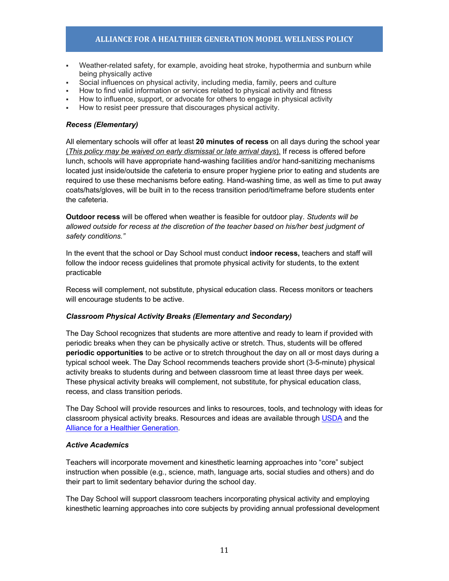- Weather-related safety, for example, avoiding heat stroke, hypothermia and sunburn while being physically active
- § Social influences on physical activity, including media, family, peers and culture
- § How to find valid information or services related to physical activity and fitness
- How to influence, support, or advocate for others to engage in physical activity
- § How to resist peer pressure that discourages physical activity.

#### *Recess (Elementary)*

All elementary schools will offer at least **20 minutes of recess** on all days during the school year (*This policy may be waived on early dismissal or late arrival days*). If recess is offered before lunch, schools will have appropriate hand-washing facilities and/or hand-sanitizing mechanisms located just inside/outside the cafeteria to ensure proper hygiene prior to eating and students are required to use these mechanisms before eating. Hand-washing time, as well as time to put away coats/hats/gloves, will be built in to the recess transition period/timeframe before students enter the cafeteria.

**Outdoor recess** will be offered when weather is feasible for outdoor play. *Students will be allowed outside for recess at the discretion of the teacher based on his/her best judgment of safety conditions."*

In the event that the school or Day School must conduct **indoor recess,** teachers and staff will follow the indoor recess guidelines that promote physical activity for students, to the extent practicable

Recess will complement, not substitute, physical education class. Recess monitors or teachers will encourage students to be active.

#### *Classroom Physical Activity Breaks (Elementary and Secondary)*

The Day School recognizes that students are more attentive and ready to learn if provided with periodic breaks when they can be physically active or stretch. Thus, students will be offered **periodic opportunities** to be active or to stretch throughout the day on all or most days during a typical school week. The Day School recommends teachers provide short (3-5-minute) physical activity breaks to students during and between classroom time at least three days per week. These physical activity breaks will complement, not substitute, for physical education class, recess, and class transition periods.

The Day School will provide resources and links to resources, tools, and technology with ideas for classroom physical activity breaks. Resources and ideas are available through USDA and the Alliance for a Healthier Generation.

#### *Active Academics*

Teachers will incorporate movement and kinesthetic learning approaches into "core" subject instruction when possible (e.g., science, math, language arts, social studies and others) and do their part to limit sedentary behavior during the school day.

The Day School will support classroom teachers incorporating physical activity and employing kinesthetic learning approaches into core subjects by providing annual professional development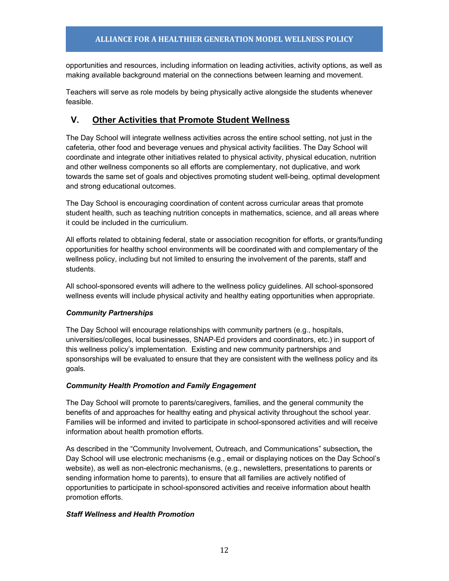opportunities and resources, including information on leading activities, activity options, as well as making available background material on the connections between learning and movement.

Teachers will serve as role models by being physically active alongside the students whenever feasible.

## **V. Other Activities that Promote Student Wellness**

The Day School will integrate wellness activities across the entire school setting, not just in the cafeteria, other food and beverage venues and physical activity facilities. The Day School will coordinate and integrate other initiatives related to physical activity, physical education, nutrition and other wellness components so all efforts are complementary, not duplicative, and work towards the same set of goals and objectives promoting student well-being, optimal development and strong educational outcomes.

The Day School is encouraging coordination of content across curricular areas that promote student health, such as teaching nutrition concepts in mathematics, science, and all areas where it could be included in the curriculium.

All efforts related to obtaining federal, state or association recognition for efforts, or grants/funding opportunities for healthy school environments will be coordinated with and complementary of the wellness policy, including but not limited to ensuring the involvement of the parents, staff and students.

All school-sponsored events will adhere to the wellness policy guidelines. All school-sponsored wellness events will include physical activity and healthy eating opportunities when appropriate.

#### *Community Partnerships*

The Day School will encourage relationships with community partners (e.g., hospitals, universities/colleges, local businesses, SNAP-Ed providers and coordinators, etc.) in support of this wellness policy's implementation. Existing and new community partnerships and sponsorships will be evaluated to ensure that they are consistent with the wellness policy and its goals.

#### *Community Health Promotion and Family Engagement*

The Day School will promote to parents/caregivers, families, and the general community the benefits of and approaches for healthy eating and physical activity throughout the school year. Families will be informed and invited to participate in school-sponsored activities and will receive information about health promotion efforts.

As described in the "Community Involvement, Outreach, and Communications" subsection*,* the Day School will use electronic mechanisms (e.g., email or displaying notices on the Day School's website), as well as non-electronic mechanisms, (e.g., newsletters, presentations to parents or sending information home to parents), to ensure that all families are actively notified of opportunities to participate in school-sponsored activities and receive information about health promotion efforts.

#### *Staff Wellness and Health Promotion*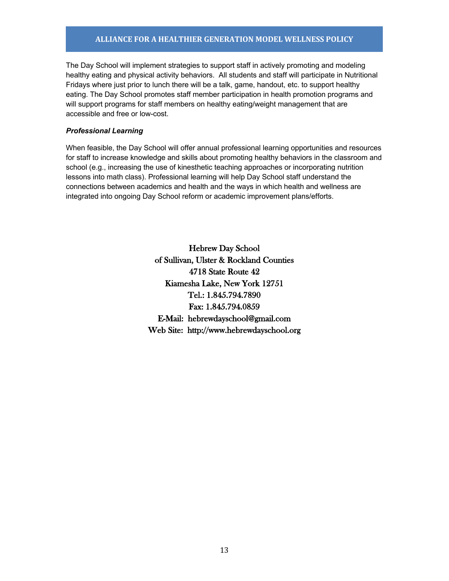### **ALLIANCE FOR A HEALTHIER GENERATION MODEL WELLNESS POLICY**

The Day School will implement strategies to support staff in actively promoting and modeling healthy eating and physical activity behaviors. All students and staff will participate in Nutritional Fridays where just prior to lunch there will be a talk, game, handout, etc. to support healthy eating. The Day School promotes staff member participation in health promotion programs and will support programs for staff members on healthy eating/weight management that are accessible and free or low-cost.

#### *Professional Learning*

When feasible, the Day School will offer annual professional learning opportunities and resources for staff to increase knowledge and skills about promoting healthy behaviors in the classroom and school (e.g., increasing the use of kinesthetic teaching approaches or incorporating nutrition lessons into math class). Professional learning will help Day School staff understand the connections between academics and health and the ways in which health and wellness are integrated into ongoing Day School reform or academic improvement plans/efforts.

> Hebrew Day School of Sullivan, Ulster & Rockland Counties 4718 State Route 42 Kiamesha Lake, New York 12751 Tel.: 1.845.794.7890 Fax: 1.845.794.0859 E-Mail: hebrewdayschool@gmail.com Web Site: http://www.hebrewdayschool.org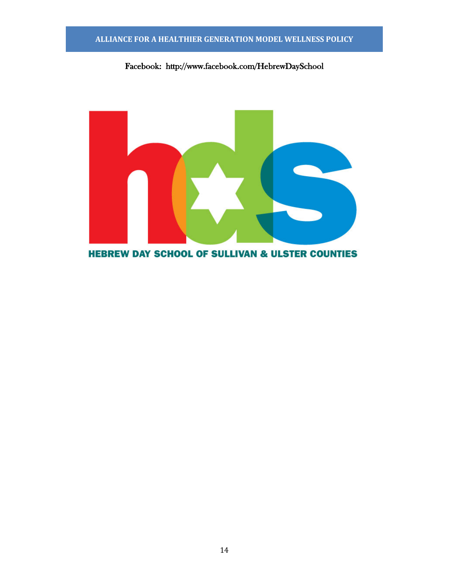## **ALLIANCE FOR A HEALTHIER GENERATION MODEL WELLNESS POLICY**

# Facebook: http://www.facebook.com/HebrewDaySchool



14